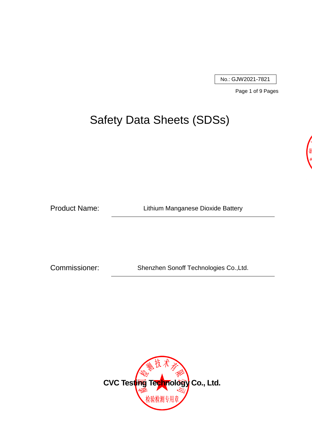No.: GJW2021-7821

Page 1 of 9 Pages

# Safety Data Sheets (SDSs)

Product Name: Lithium Manganese Dioxide Battery

Commissioner: Shenzhen Sonoff Technologies Co.,Ltd.

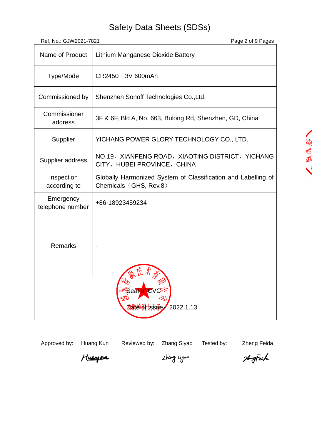| Ref, No.: GJW2021-7821                           | Page 2 of 9 Pages                                                                       |  |
|--------------------------------------------------|-----------------------------------------------------------------------------------------|--|
| Name of Product                                  | Lithium Manganese Dioxide Battery                                                       |  |
| Type/Mode                                        | 3V 600mAh<br>CR2450                                                                     |  |
| Commissioned by                                  | Shenzhen Sonoff Technologies Co., Ltd.                                                  |  |
| Commissioner<br>address                          | 3F & 6F, Bld A, No. 663, Bulong Rd, Shenzhen, GD, China                                 |  |
| Supplier                                         | YICHANG POWER GLORY TECHNOLOGY CO., LTD.                                                |  |
| Supplier address                                 | NO.19, XIANFENG ROAD, XIAOTING DISTRICT, YICHANG<br>CITY, HUBEI PROVINCE, CHINA         |  |
| Inspection<br>according to                       | Globally Harmonized System of Classification and Labelling of<br>Chemicals (GHS, Rev.8) |  |
| Emergency<br>telephone number                    | +86-18923459234                                                                         |  |
| <b>Remarks</b>                                   |                                                                                         |  |
| <b>Ensear of CV</b><br><b>检验检测专用单e 2022.1.13</b> |                                                                                         |  |

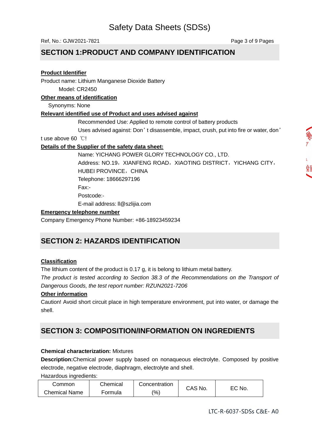Ref, No.: GJW2021-7821 **Page 3 of 9 Pages** 

### **SECTION 1:PRODUCT AND COMPANY IDENTIFICATION**

#### **Product Identifier**

Product name: Lithium Manganese Dioxide Battery Model: CR2450

#### **Other means of identification**

Synonyms: None

### **Relevant identified use of Product and uses advised against**

Recommended Use: Applied to remote control of battery products

Uses advised against: Don't disassemble, impact, crush, put into fire or water, don'

t use above 60 ℃!

### **Details of the Supplier of the safety data sheet:**

Name: YICHANG POWER GLORY TECHNOLOGY CO., LTD. Address: NO.19, XIANFENG ROAD, XIAOTING DISTRICT, YICHANG CITY, HUBEI PROVINCE, CHINA Telephone: 18666297196 Fax:- Postcode:- E-mail address: ll@szlijia.com

#### **Emergency telephone number**

Company Emergency Phone Number: +86-18923459234

## **SECTION 2: HAZARDS IDENTIFICATION**

### **Classification**

The lithium content of the product is 0.17 g, it is belong to lithium metal battery.

*The product is tested according to Section 38.3 of the Recommendations on the Transport of Dangerous Goods, the test report number: RZUN2021-7206*

### **Other information**

Caution! Avoid short circuit place in high temperature environment, put into water, or damage the shell.

### **SECTION 3: COMPOSITION/INFORMATION ON INGREDIENTS**

#### **Chemical characterization:** Mixtures

**Description:**Chemical power supply based on nonaqueous electrolyte. Composed by positive electrode, negative electrode, diaphragm, electrolyte and shell.

Hazardous ingredients:

| ommonش               | Chemical | Concentration     | CAS No. |        |
|----------------------|----------|-------------------|---------|--------|
| <b>Chemical Name</b> | Formula  | $\frac{(0)}{(0)}$ |         | EC No. |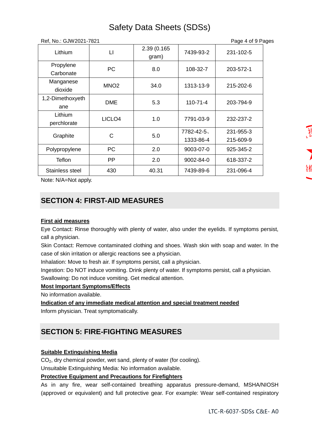| Ref, No.: GJW2021-7821<br>Page 4 of 9 Pages |                    |                      |                        |                        |
|---------------------------------------------|--------------------|----------------------|------------------------|------------------------|
| Lithium                                     | $\mathsf{L}$       | 2.39 (0.165<br>gram) | 7439-93-2              | 231-102-5              |
| Propylene<br>Carbonate                      | <b>PC</b>          | 8.0                  | 108-32-7               | 203-572-1              |
| Manganese<br>dioxide                        | MNO <sub>2</sub>   | 34.0                 | 1313-13-9              | 215-202-6              |
| 1,2-Dimethoxyeth<br>ane                     | <b>DME</b>         | 5.3                  | $110 - 71 - 4$         | 203-794-9              |
| Lithium<br>perchlorate                      | LICLO <sub>4</sub> | 1.0                  | 7791-03-9              | 232-237-2              |
| Graphite                                    | C                  | 5.0                  | 7782-42-5<br>1333-86-4 | 231-955-3<br>215-609-9 |
| Polypropylene                               | <b>PC</b>          | 2.0                  | 9003-07-0              | 925-345-2              |
| Teflon                                      | <b>PP</b>          | 2.0                  | $9002 - 84 - 0$        | 618-337-2              |
| Stainless steel                             | 430                | 40.31                | 7439-89-6              | 231-096-4              |

Note: N/A=Not apply.

## **SECTION 4: FIRST-AID MEASURES**

### **First aid measures**

Eye Contact: Rinse thoroughly with plenty of water, also under the eyelids. If symptoms persist, call a physician.

Skin Contact: Remove contaminated clothing and shoes. Wash skin with soap and water. In the case of skin irritation or allergic reactions see a physician.

Inhalation: Move to fresh air. If symptoms persist, call a physician.

Ingestion: Do NOT induce vomiting. Drink plenty of water. If symptoms persist, call a physician. Swallowing: Do not induce vomiting. Get medical attention.

### **Most Important Symptoms/Effects**

No information available.

**Indication of any immediate medical attention and special treatment needed**

Inform physician. Treat symptomatically.

### **SECTION 5: FIRE-FIGHTING MEASURES**

### **Suitable Extinguishing Media**

CO2, dry chemical powder, wet sand, plenty of water (for cooling).

Unsuitable Extinguishing Media: No information available.

#### **Protective Equipment and Precautions for Firefighters**

As in any fire, wear self-contained breathing apparatus pressure-demand, MSHA/NIOSH (approved or equivalent) and full protective gear. For example: Wear self-contained respiratory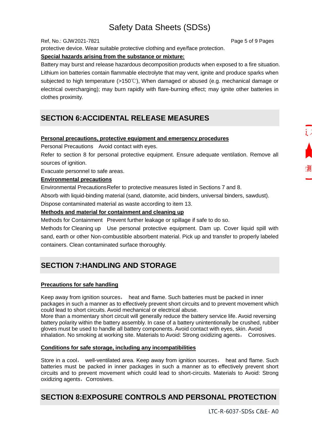#### Ref, No.: GJW2021-7821 **Page 5 of 9 Pages**

protective device. Wear suitable protective clothing and eye/face protection.

#### **Special hazards arising from the substance or mixture:**

Battery may burst and release hazardous decomposition products when exposed to a fire situation. Lithium ion batteries contain flammable electrolyte that may vent, ignite and produce sparks when subjected to high temperature (>150℃), When damaged or abused (e.g. mechanical damage or electrical overcharging); may burn rapidly with flare-burning effect; may ignite other batteries in clothes proximity.

### **SECTION 6:ACCIDENTAL RELEASE MEASURES**

#### **Personal precautions, protective equipment and emergency procedures**

Personal Precautions Avoid contact with eyes.

Refer to section 8 for personal protective equipment. Ensure adequate ventilation. Remove all sources of ignition.

Evacuate personnel to safe areas.

#### **Environmental precautions**

Environmental PrecautionsRefer to protective measures listed in Sections 7 and 8.

Absorb with liquid-binding material (sand, diatomite, acid binders, universal binders, sawdust).

Dispose contaminated material as waste according to item 13.

#### **Methods and material for containment and cleaning up**

Methods for Containment Prevent further leakage or spillage if safe to do so.

Methods for Cleaning up Use personal protective equipment. Dam up. Cover liquid spill with sand, earth or other Non-combustible absorbent material. Pick up and transfer to properly labeled containers. Clean contaminated surface thoroughly.

## **SECTION 7:HANDLING AND STORAGE**

### **Precautions for safe handling**

Keep away from ignition sources, heat and flame. Such batteries must be packed in inner packages in such a manner as to effectively prevent short circuits and to prevent movement which could lead to short circuits. Avoid mechanical or electrical abuse.

More than a momentary short circuit will generally reduce the battery service life. Avoid reversing battery polarity within the battery assembly. In case of a battery unintentionally be crushed, rubber gloves must be used to handle all battery components. Avoid contact with eyes, skin. Avoid inhalation. No smoking at working site. Materials to Avoid: Strong oxidizing agents, Corrosives.

#### **Conditions for safe storage, including any incompatibilities**

Store in a cool, well-ventilated area. Keep away from ignition sources, heat and flame. Such batteries must be packed in inner packages in such a manner as to effectively prevent short circuits and to prevent movement which could lead to short-circuits. Materials to Avoid: Strong oxidizing agents, Corrosives.

### **SECTION 8:EXPOSURE CONTROLS AND PERSONAL PROTECTION**

LTC-R-6037-SDSs C&E- A0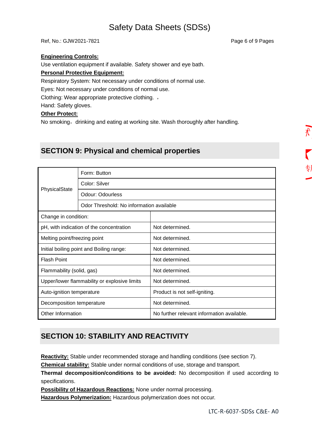Ref, No.: GJW2021-7821 **Page 6 of 9 Pages** 

#### **Engineering Controls:**

Use ventilation equipment if available. Safety shower and eye bath.

#### **Personal Protective Equipment:**

Respiratory System: Not necessary under conditions of normal use.

Eyes: Not necessary under conditions of normal use.

Clothing: Wear appropriate protective clothing. ,

Hand: Safety gloves.

#### **Other Protect:**

No smoking, drinking and eating at working site. Wash thoroughly after handling.

### **SECTION 9: Physical and chemical properties**

| PhysicalState                                | Form: Button                             |                                            |  |  |  |
|----------------------------------------------|------------------------------------------|--------------------------------------------|--|--|--|
|                                              | Color: Silver                            |                                            |  |  |  |
|                                              | <b>Odour: Odourless</b>                  |                                            |  |  |  |
|                                              | Odor Threshold: No information available |                                            |  |  |  |
| Change in condition:                         |                                          |                                            |  |  |  |
| pH, with indication of the concentration     |                                          | Not determined.                            |  |  |  |
| Melting point/freezing point                 |                                          | Not determined.                            |  |  |  |
| Initial boiling point and Boiling range:     |                                          | Not determined.                            |  |  |  |
| <b>Flash Point</b>                           |                                          | Not determined.                            |  |  |  |
| Flammability (solid, gas)                    |                                          | Not determined.                            |  |  |  |
| Upper/lower flammability or explosive limits |                                          | Not determined.                            |  |  |  |
| Auto-ignition temperature                    |                                          | Product is not self-igniting.              |  |  |  |
| Decomposition temperature                    |                                          | Not determined.                            |  |  |  |
| Other Information                            |                                          | No further relevant information available. |  |  |  |

### **SECTION 10: STABILITY AND REACTIVITY**

**Reactivity:** Stable under recommended storage and handling conditions (see section 7).

**Chemical stability:** Stable under normal conditions of use, storage and transport.

**Thermal decomposition/conditions to be avoided:** No decomposition if used according to specifications.

**Possibility of Hazardous Reactions:** None under normal processing.

**Hazardous Polymerization:** Hazardous polymerization does not occur.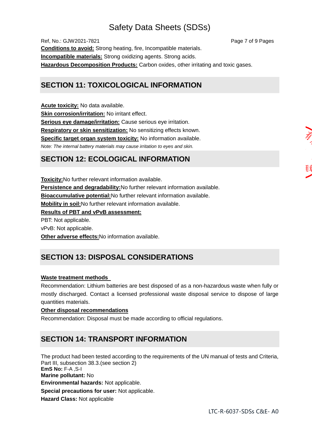Ref, No.: GJW2021-7821 **Pages** 7 of 9 Pages **Conditions to avoid:** Strong heating, fire, Incompatible materials. **Incompatible materials:** Strong oxidizing agents. Strong acids. **Hazardous Decomposition Products:** Carbon oxides, other irritating and toxic gases.

### **SECTION 11: TOXICOLOGICAL INFORMATION**

**Acute toxicity:** No data available. **Skin corrosion/irritation:** No irritant effect. **Serious eye damage/irritation:** Cause serious eye irritation. **Respiratory or skin sensitization:** No sensitizing effects known. **Specific target organ system toxicity:** No information available. *Note: The internal battery materials may cause irritation to eyes and skin.*

### **SECTION 12: ECOLOGICAL INFORMATION**

**Toxicity:**No further relevant information available. **Persistence and degradability:**No further relevant information available. **Bioaccumulative potential:**No further relevant information available. **Mobility in soil:**No further relevant information available. **Results of PBT and vPvB assessment:** PBT: Not applicable. vPvB: Not applicable. **Other adverse effects:**No information available.

## **SECTION 13: DISPOSAL CONSIDERATIONS**

### **Waste treatment methods**

Recommendation: Lithium batteries are best disposed of as a non-hazardous waste when fully or mostly discharged. Contact a licensed professional waste disposal service to dispose of large quantities materials.

#### **Other disposal recommendations**

Recommendation: Disposal must be made according to official regulations.

### **SECTION 14: TRANSPORT INFORMATION**

The product had been tested according to the requirements of the UN manual of tests and Criteria, Part III, subsection 38.3.(see section 2) **EmS No:** F-A ,S-I **Marine pollutant:** No **Environmental hazards:** Not applicable. **Special precautions for user:** Not applicable. **Hazard Class:** Not applicable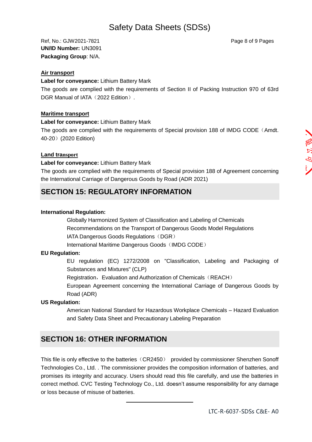Ref, No.: GJW2021-7821 **Page 8 of 9 Pages** Page 8 of 9 Pages **UN/ID Number:** UN3091 **Packaging Group**: N/A.

#### **Air transport**

**Label for conveyance:** Lithium Battery Mark

The goods are complied with the requirements of Section II of Packing Instruction 970 of 63rd DGR Manual of IATA (2022 Edition).

#### **Maritime transport**

**Label for conveyance:** Lithium Battery Mark

The goods are complied with the requirements of Special provision 188 of IMDG CODE (Amdt. 40-20)(2020 Edition)

#### **Land transport**

**Label for conveyance:** Lithium Battery Mark

The goods are complied with the requirements of Special provision 188 of Agreement concerning the International Carriage of Dangerous Goods by Road (ADR 2021)

### **SECTION 15: REGULATORY INFORMATION**

#### **International Regulation:**

Globally Harmonized System of Classification and Labeling of Chemicals Recommendations on the Transport of Dangerous Goods Model Regulations IATA Dangerous Goods Regulations (DGR)

International Maritime Dangerous Goods (IMDG CODE)

#### **EU Regulation:**

EU regulation (EC) 1272/2008 on "Classification, Labeling and Packaging of Substances and Mixtures" (CLP)

Registration, Evaluation and Authorization of Chemicals (REACH)

European Agreement concerning the International Carriage of Dangerous Goods by Road (ADR)

#### **US Regulation:**

American National Standard for Hazardous Workplace Chemicals – Hazard Evaluation and Safety Data Sheet and Precautionary Labeling Preparation

### **SECTION 16: OTHER INFORMATION**

This file is only effective to the batteries (CR2450) provided by commissioner Shenzhen Sonoff Technologies Co., Ltd. . The commissioner provides the composition information of batteries, and promises its integrity and accuracy. Users should read this file carefully, and use the batteries in correct method. CVC Testing Technology Co., Ltd. doesn't assume responsibility for any damage or loss because of misuse of batteries.